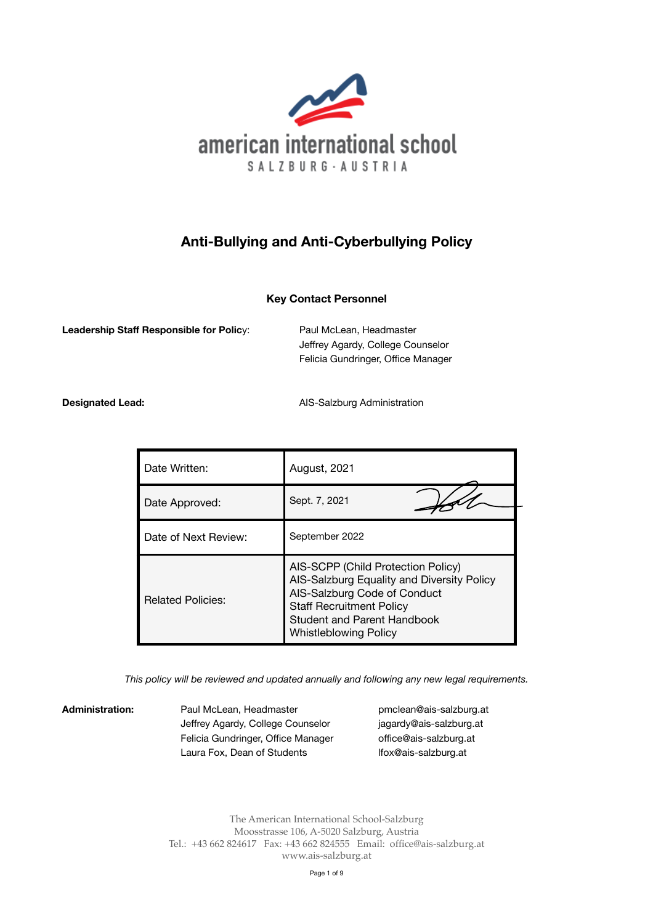

# **Anti-Bullying and Anti-Cyberbullying Policy**

# **Key Contact Personnel**

**Leadership Staff Responsible for Policy:** Paul McLean, Headmaster

 Jeffrey Agardy, College Counselor Felicia Gundringer, Office Manager

**Designated Lead: Designated Lead: AIS-Salzburg Administration** 

| Date Written:            | August, 2021                                                                                                                                                                                                              |
|--------------------------|---------------------------------------------------------------------------------------------------------------------------------------------------------------------------------------------------------------------------|
| Date Approved:           | Sept. 7, 2021                                                                                                                                                                                                             |
| Date of Next Review:     | September 2022                                                                                                                                                                                                            |
| <b>Related Policies:</b> | AIS-SCPP (Child Protection Policy)<br>AIS-Salzburg Equality and Diversity Policy<br>AIS-Salzburg Code of Conduct<br><b>Staff Recruitment Policy</b><br><b>Student and Parent Handbook</b><br><b>Whistleblowing Policy</b> |

*This policy will be reviewed and updated annually and following any new legal requirements.* 

Administration: Paul McLean, Headmaster **business and a [pmclean@ais-salzburg.at](mailto:pmclean@ais-salzburg.at)** Jeffrey Agardy, College Counselor *iagardy@ais-salzburg.at* Felicia Gundringer, Office Manager offi[ce@ais-salzburg.at](mailto:office@ais-salzburg.at) Laura Fox, Dean of Students **Ifox@ais-salzburg.at** 

The American International School-Salzburg Moosstrasse 106, A-5020 Salzburg, Austria Tel.: +43 662 824617 Fax: +43 662 824555 Email: [office@ais-salzburg.at](mailto:office@ais-salzburg.at) www.ais-salzburg.at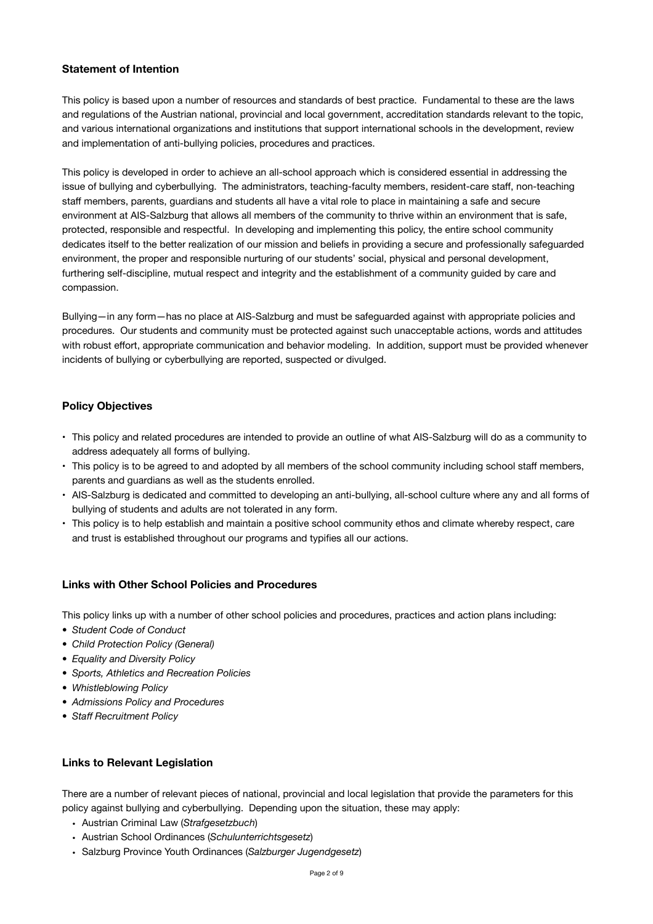## **Statement of Intention**

This policy is based upon a number of resources and standards of best practice. Fundamental to these are the laws and regulations of the Austrian national, provincial and local government, accreditation standards relevant to the topic, and various international organizations and institutions that support international schools in the development, review and implementation of anti-bullying policies, procedures and practices.

This policy is developed in order to achieve an all-school approach which is considered essential in addressing the issue of bullying and cyberbullying. The administrators, teaching-faculty members, resident-care staff, non-teaching staff members, parents, guardians and students all have a vital role to place in maintaining a safe and secure environment at AIS-Salzburg that allows all members of the community to thrive within an environment that is safe, protected, responsible and respectful. In developing and implementing this policy, the entire school community dedicates itself to the better realization of our mission and beliefs in providing a secure and professionally safeguarded environment, the proper and responsible nurturing of our students' social, physical and personal development, furthering self-discipline, mutual respect and integrity and the establishment of a community guided by care and compassion.

Bullying—in any form—has no place at AIS-Salzburg and must be safeguarded against with appropriate policies and procedures. Our students and community must be protected against such unacceptable actions, words and attitudes with robust effort, appropriate communication and behavior modeling. In addition, support must be provided whenever incidents of bullying or cyberbullying are reported, suspected or divulged.

# **Policy Objectives**

- This policy and related procedures are intended to provide an outline of what AIS-Salzburg will do as a community to address adequately all forms of bullying.
- This policy is to be agreed to and adopted by all members of the school community including school staff members, parents and guardians as well as the students enrolled.
- AIS-Salzburg is dedicated and committed to developing an anti-bullying, all-school culture where any and all forms of bullying of students and adults are not tolerated in any form.
- This policy is to help establish and maintain a positive school community ethos and climate whereby respect, care and trust is established throughout our programs and typifies all our actions.

# **Links with Other School Policies and Procedures**

This policy links up with a number of other school policies and procedures, practices and action plans including:

- *• Student Code of Conduct*
- *• Child Protection Policy (General)*
- *• Equality and Diversity Policy*
- *• Sports, Athletics and Recreation Policies*
- *• Whistleblowing Policy*
- *• Admissions Policy and Procedures*
- *• Staff Recruitment Policy*

#### **Links to Relevant Legislation**

There are a number of relevant pieces of national, provincial and local legislation that provide the parameters for this policy against bullying and cyberbullying. Depending upon the situation, these may apply:

- Austrian Criminal Law (*Strafgesetzbuch*)
- Austrian School Ordinances (*Schulunterrichtsgesetz*)
- Salzburg Province Youth Ordinances (*Salzburger Jugendgesetz*)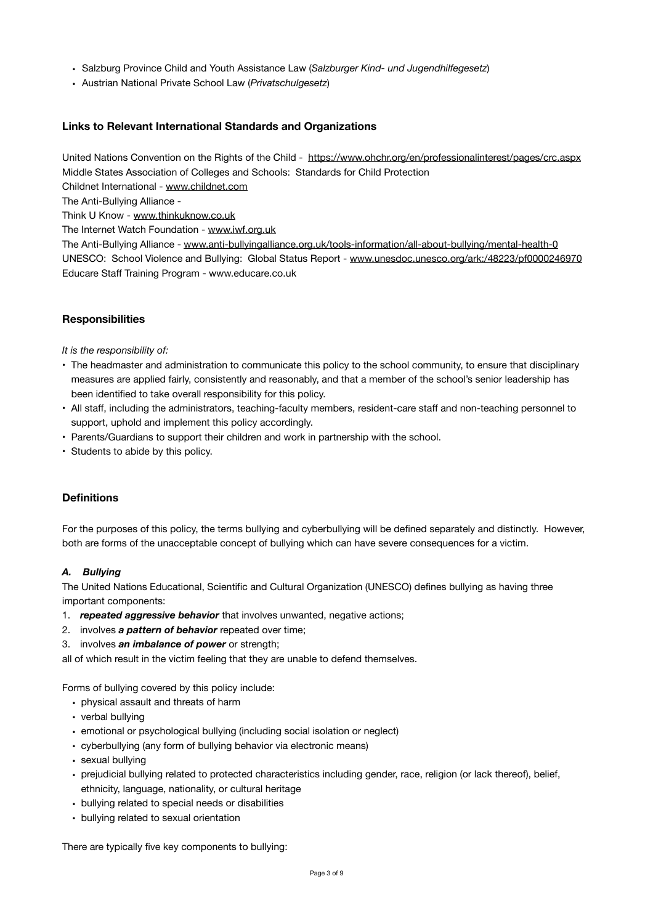- Salzburg Province Child and Youth Assistance Law (*Salzburger Kind- und Jugendhilfegesetz*)
- Austrian National Private School Law (*Privatschulgesetz*)

#### **Links to Relevant International Standards and Organizations**

United Nations Convention on the Rights of the Child - <https://www.ohchr.org/en/professionalinterest/pages/crc.aspx> Middle States Association of Colleges and Schools: Standards for Child Protection

Childnet International - [www.childnet.com](http://www.childnet.com)

The Anti-Bullying Alliance -

Think U Know - [www.thinkuknow.co.uk](http://www.thinkuknow.co.uk)

The Internet Watch Foundation - [www.iwf.org.uk](http://www.iwf.org.uk)

The Anti-Bullying Alliance - [www.anti-bullyingalliance.org.uk/tools-information/all-about-bullying/mental-health-0](http://www.anti-bullyingalliance.org.uk/tools-information/all-about-bullying/mental-health-0) UNESCO: School Violence and Bullying: Global Status Report - [www.unesdoc.unesco.org/ark:/48223/pf0000246970](http://www.unesdoc.unesco.org/ark:/48223/pf0000246970) Educare Staff Training Program - www.educare.co.uk

#### **Responsibilities**

*It is the responsibility of:* 

- The headmaster and administration to communicate this policy to the school community, to ensure that disciplinary measures are applied fairly, consistently and reasonably, and that a member of the school's senior leadership has been identified to take overall responsibility for this policy.
- All staff, including the administrators, teaching-faculty members, resident-care staff and non-teaching personnel to support, uphold and implement this policy accordingly.
- Parents/Guardians to support their children and work in partnership with the school.
- Students to abide by this policy.

#### **Definitions**

For the purposes of this policy, the terms bullying and cyberbullying will be defined separately and distinctly. However, both are forms of the unacceptable concept of bullying which can have severe consequences for a victim.

#### *A. Bullying*

The United Nations Educational, Scientific and Cultural Organization (UNESCO) defines bullying as having three important components:

- 1. *repeated aggressive behavior* that involves unwanted, negative actions;
- 2. involves *a pattern of behavior* repeated over time;
- 3. involves *an imbalance of power* or strength;

all of which result in the victim feeling that they are unable to defend themselves.

Forms of bullying covered by this policy include:

- physical assault and threats of harm
- verbal bullying
- emotional or psychological bullying (including social isolation or neglect)
- cyberbullying (any form of bullying behavior via electronic means)
- sexual bullying
- prejudicial bullying related to protected characteristics including gender, race, religion (or lack thereof), belief, ethnicity, language, nationality, or cultural heritage
- bullying related to special needs or disabilities
- bullying related to sexual orientation

There are typically five key components to bullying: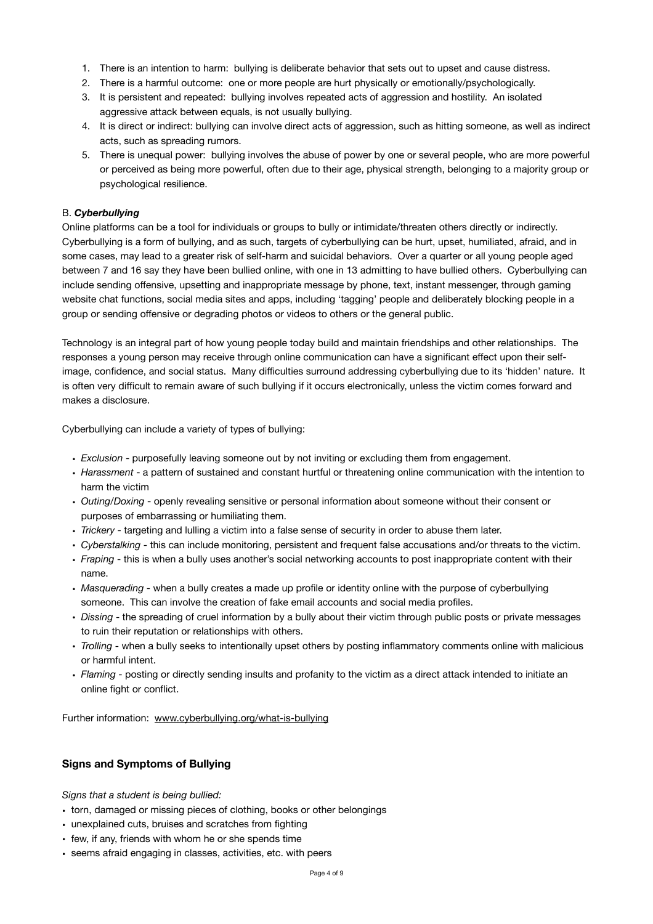- 1. There is an intention to harm: bullying is deliberate behavior that sets out to upset and cause distress.
- 2. There is a harmful outcome: one or more people are hurt physically or emotionally/psychologically.
- 3. It is persistent and repeated: bullying involves repeated acts of aggression and hostility. An isolated aggressive attack between equals, is not usually bullying.
- 4. It is direct or indirect: bullying can involve direct acts of aggression, such as hitting someone, as well as indirect acts, such as spreading rumors.
- 5. There is unequal power: bullying involves the abuse of power by one or several people, who are more powerful or perceived as being more powerful, often due to their age, physical strength, belonging to a majority group or psychological resilience.

#### B. *Cyberbullying*

Online platforms can be a tool for individuals or groups to bully or intimidate/threaten others directly or indirectly. Cyberbullying is a form of bullying, and as such, targets of cyberbullying can be hurt, upset, humiliated, afraid, and in some cases, may lead to a greater risk of self-harm and suicidal behaviors. Over a quarter or all young people aged between 7 and 16 say they have been bullied online, with one in 13 admitting to have bullied others. Cyberbullying can include sending offensive, upsetting and inappropriate message by phone, text, instant messenger, through gaming website chat functions, social media sites and apps, including 'tagging' people and deliberately blocking people in a group or sending offensive or degrading photos or videos to others or the general public.

Technology is an integral part of how young people today build and maintain friendships and other relationships. The responses a young person may receive through online communication can have a significant effect upon their selfimage, confidence, and social status. Many difficulties surround addressing cyberbullying due to its 'hidden' nature. It is often very difficult to remain aware of such bullying if it occurs electronically, unless the victim comes forward and makes a disclosure.

Cyberbullying can include a variety of types of bullying:

- *Exclusion* purposefully leaving someone out by not inviting or excluding them from engagement.
- *Harassment* a pattern of sustained and constant hurtful or threatening online communication with the intention to harm the victim
- *Outing/Doxing* openly revealing sensitive or personal information about someone without their consent or purposes of embarrassing or humiliating them.
- *Trickery* targeting and lulling a victim into a false sense of security in order to abuse them later.
- *Cyberstalking* this can include monitoring, persistent and frequent false accusations and/or threats to the victim.
- *Fraping* this is when a bully uses another's social networking accounts to post inappropriate content with their name.
- *Masquerading* when a bully creates a made up profile or identity online with the purpose of cyberbullying someone. This can involve the creation of fake email accounts and social media profiles.
- *Dissing*  the spreading of cruel information by a bully about their victim through public posts or private messages to ruin their reputation or relationships with others.
- *Trolling* when a bully seeks to intentionally upset others by posting inflammatory comments online with malicious or harmful intent.
- *Flaming*  posting or directly sending insults and profanity to the victim as a direct attack intended to initiate an online fight or conflict.

Further information: [www.cyberbullying.org/what-is-bullying](http://www.cyberbullying.org/what-is-bullying)

#### **Signs and Symptoms of Bullying**

*Signs that a student is being bullied:*

- torn, damaged or missing pieces of clothing, books or other belongings
- unexplained cuts, bruises and scratches from fighting
- few, if any, friends with whom he or she spends time
- seems afraid engaging in classes, activities, etc. with peers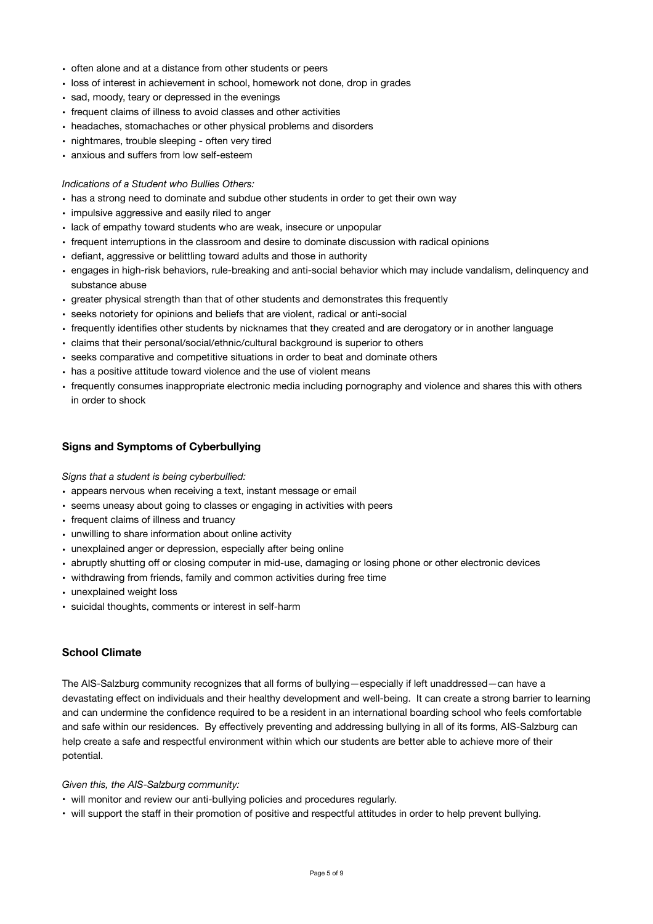- often alone and at a distance from other students or peers
- loss of interest in achievement in school, homework not done, drop in grades
- sad, moody, teary or depressed in the evenings
- frequent claims of illness to avoid classes and other activities
- headaches, stomachaches or other physical problems and disorders
- nightmares, trouble sleeping often very tired
- anxious and suffers from low self-esteem

#### *Indications of a Student who Bullies Others:*

- has a strong need to dominate and subdue other students in order to get their own way
- impulsive aggressive and easily riled to anger
- lack of empathy toward students who are weak, insecure or unpopular
- frequent interruptions in the classroom and desire to dominate discussion with radical opinions
- defiant, aggressive or belittling toward adults and those in authority
- engages in high-risk behaviors, rule-breaking and anti-social behavior which may include vandalism, delinquency and substance abuse
- greater physical strength than that of other students and demonstrates this frequently
- seeks notoriety for opinions and beliefs that are violent, radical or anti-social
- frequently identifies other students by nicknames that they created and are derogatory or in another language
- claims that their personal/social/ethnic/cultural background is superior to others
- seeks comparative and competitive situations in order to beat and dominate others
- has a positive attitude toward violence and the use of violent means
- frequently consumes inappropriate electronic media including pornography and violence and shares this with others in order to shock

## **Signs and Symptoms of Cyberbullying**

*Signs that a student is being cyberbullied:* 

- appears nervous when receiving a text, instant message or email
- seems uneasy about going to classes or engaging in activities with peers
- frequent claims of illness and truancy
- unwilling to share information about online activity
- unexplained anger or depression, especially after being online
- abruptly shutting off or closing computer in mid-use, damaging or losing phone or other electronic devices
- withdrawing from friends, family and common activities during free time
- unexplained weight loss
- suicidal thoughts, comments or interest in self-harm

#### **School Climate**

The AIS-Salzburg community recognizes that all forms of bullying—especially if left unaddressed—can have a devastating effect on individuals and their healthy development and well-being. It can create a strong barrier to learning and can undermine the confidence required to be a resident in an international boarding school who feels comfortable and safe within our residences. By effectively preventing and addressing bullying in all of its forms, AIS-Salzburg can help create a safe and respectful environment within which our students are better able to achieve more of their potential.

#### *Given this, the AIS-Salzburg community:*

- will monitor and review our anti-bullying policies and procedures regularly.
- will support the staff in their promotion of positive and respectful attitudes in order to help prevent bullying.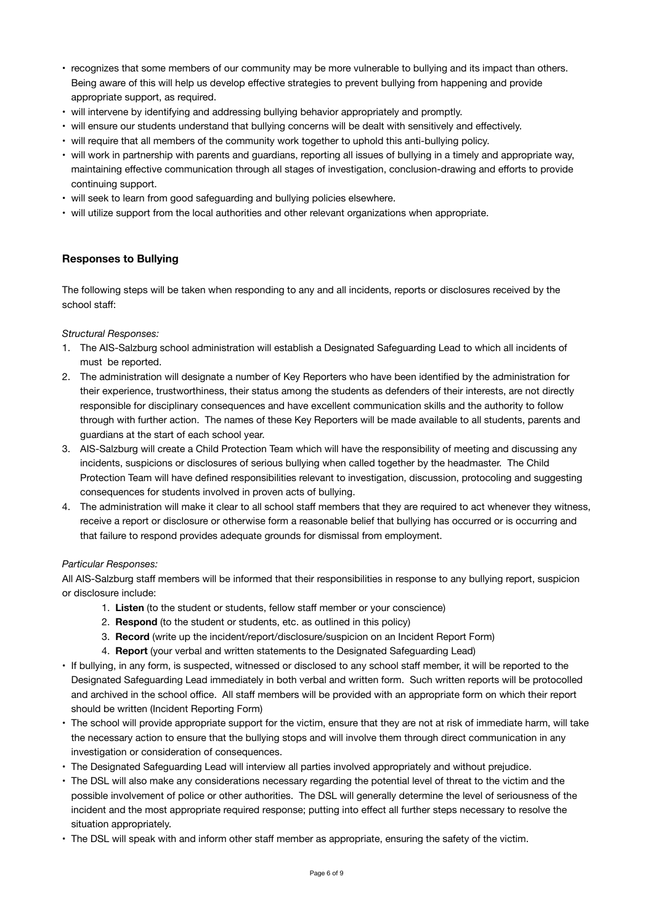- recognizes that some members of our community may be more vulnerable to bullying and its impact than others. Being aware of this will help us develop effective strategies to prevent bullying from happening and provide appropriate support, as required.
- will intervene by identifying and addressing bullying behavior appropriately and promptly.
- will ensure our students understand that bullying concerns will be dealt with sensitively and effectively.
- will require that all members of the community work together to uphold this anti-bullying policy.
- will work in partnership with parents and guardians, reporting all issues of bullying in a timely and appropriate way, maintaining effective communication through all stages of investigation, conclusion-drawing and efforts to provide continuing support.
- will seek to learn from good safeguarding and bullying policies elsewhere.
- will utilize support from the local authorities and other relevant organizations when appropriate.

# **Responses to Bullying**

The following steps will be taken when responding to any and all incidents, reports or disclosures received by the school staff:

*Structural Responses:* 

- 1. The AIS-Salzburg school administration will establish a Designated Safeguarding Lead to which all incidents of must be reported.
- 2. The administration will designate a number of Key Reporters who have been identified by the administration for their experience, trustworthiness, their status among the students as defenders of their interests, are not directly responsible for disciplinary consequences and have excellent communication skills and the authority to follow through with further action. The names of these Key Reporters will be made available to all students, parents and guardians at the start of each school year.
- 3. AIS-Salzburg will create a Child Protection Team which will have the responsibility of meeting and discussing any incidents, suspicions or disclosures of serious bullying when called together by the headmaster. The Child Protection Team will have defined responsibilities relevant to investigation, discussion, protocoling and suggesting consequences for students involved in proven acts of bullying.
- 4. The administration will make it clear to all school staff members that they are required to act whenever they witness, receive a report or disclosure or otherwise form a reasonable belief that bullying has occurred or is occurring and that failure to respond provides adequate grounds for dismissal from employment.

#### *Particular Responses:*

All AIS-Salzburg staff members will be informed that their responsibilities in response to any bullying report, suspicion or disclosure include:

- 1. **Listen** (to the student or students, fellow staff member or your conscience)
- 2. **Respond** (to the student or students, etc. as outlined in this policy)
- 3. **Record** (write up the incident/report/disclosure/suspicion on an Incident Report Form)
- 4. **Report** (your verbal and written statements to the Designated Safeguarding Lead)
- If bullying, in any form, is suspected, witnessed or disclosed to any school staff member, it will be reported to the Designated Safeguarding Lead immediately in both verbal and written form. Such written reports will be protocolled and archived in the school office. All staff members will be provided with an appropriate form on which their report should be written (Incident Reporting Form)
- The school will provide appropriate support for the victim, ensure that they are not at risk of immediate harm, will take the necessary action to ensure that the bullying stops and will involve them through direct communication in any investigation or consideration of consequences.
- The Designated Safeguarding Lead will interview all parties involved appropriately and without prejudice.
- The DSL will also make any considerations necessary regarding the potential level of threat to the victim and the possible involvement of police or other authorities. The DSL will generally determine the level of seriousness of the incident and the most appropriate required response; putting into effect all further steps necessary to resolve the situation appropriately.
- The DSL will speak with and inform other staff member as appropriate, ensuring the safety of the victim.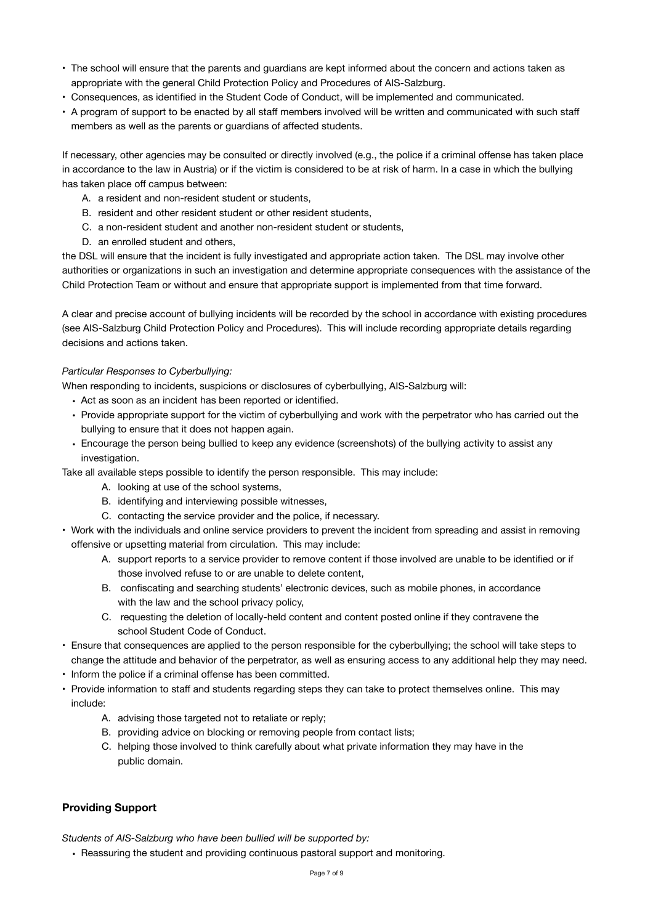- The school will ensure that the parents and guardians are kept informed about the concern and actions taken as appropriate with the general Child Protection Policy and Procedures of AIS-Salzburg.
- Consequences, as identified in the Student Code of Conduct, will be implemented and communicated.
- A program of support to be enacted by all staff members involved will be written and communicated with such staff members as well as the parents or guardians of affected students.

If necessary, other agencies may be consulted or directly involved (e.g., the police if a criminal offense has taken place in accordance to the law in Austria) or if the victim is considered to be at risk of harm. In a case in which the bullying has taken place off campus between:

- A. a resident and non-resident student or students,
- B. resident and other resident student or other resident students,
- C. a non-resident student and another non-resident student or students,
- D. an enrolled student and others,

the DSL will ensure that the incident is fully investigated and appropriate action taken. The DSL may involve other authorities or organizations in such an investigation and determine appropriate consequences with the assistance of the Child Protection Team or without and ensure that appropriate support is implemented from that time forward.

A clear and precise account of bullying incidents will be recorded by the school in accordance with existing procedures (see AIS-Salzburg Child Protection Policy and Procedures). This will include recording appropriate details regarding decisions and actions taken.

## *Particular Responses to Cyberbullying:*

When responding to incidents, suspicions or disclosures of cyberbullying, AIS-Salzburg will:

- Act as soon as an incident has been reported or identified.
- Provide appropriate support for the victim of cyberbullying and work with the perpetrator who has carried out the bullying to ensure that it does not happen again.
- Encourage the person being bullied to keep any evidence (screenshots) of the bullying activity to assist any investigation.

Take all available steps possible to identify the person responsible. This may include:

- A. looking at use of the school systems,
- B. identifying and interviewing possible witnesses,
- C. contacting the service provider and the police, if necessary.
- Work with the individuals and online service providers to prevent the incident from spreading and assist in removing offensive or upsetting material from circulation. This may include:
	- A. support reports to a service provider to remove content if those involved are unable to be identified or if those involved refuse to or are unable to delete content,
	- B. confiscating and searching students' electronic devices, such as mobile phones, in accordance with the law and the school privacy policy,
	- C. requesting the deletion of locally-held content and content posted online if they contravene the school Student Code of Conduct.
- Ensure that consequences are applied to the person responsible for the cyberbullying; the school will take steps to change the attitude and behavior of the perpetrator, as well as ensuring access to any additional help they may need.
- Inform the police if a criminal offense has been committed.
- Provide information to staff and students regarding steps they can take to protect themselves online. This may include:
	- A. advising those targeted not to retaliate or reply;
	- B. providing advice on blocking or removing people from contact lists;
	- C. helping those involved to think carefully about what private information they may have in the public domain.

# **Providing Support**

*Students of AIS-Salzburg who have been bullied will be supported by:* 

• Reassuring the student and providing continuous pastoral support and monitoring.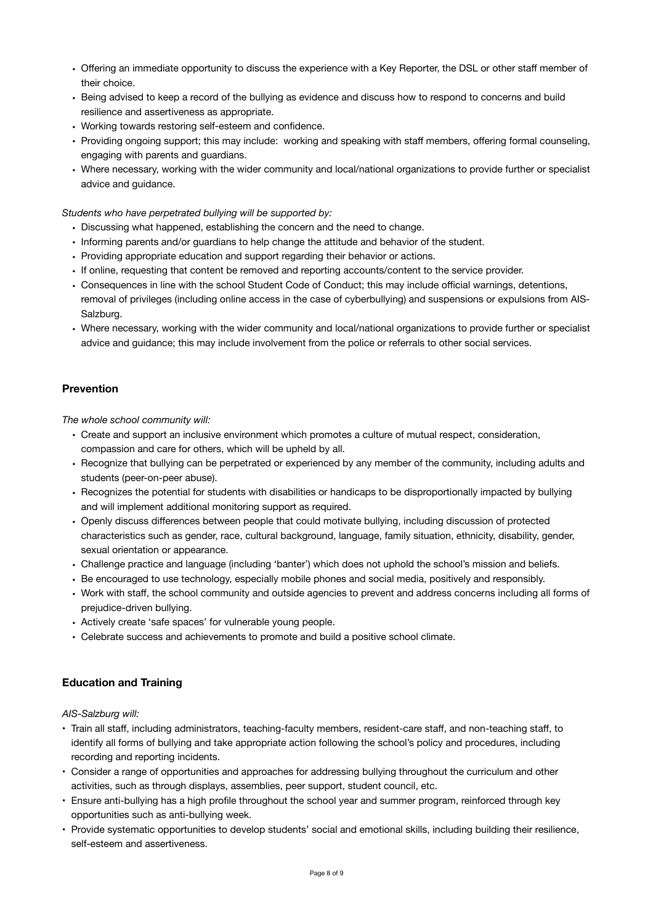- Offering an immediate opportunity to discuss the experience with a Key Reporter, the DSL or other staff member of their choice.
- Being advised to keep a record of the bullying as evidence and discuss how to respond to concerns and build resilience and assertiveness as appropriate.
- Working towards restoring self-esteem and confidence.
- Providing ongoing support; this may include: working and speaking with staff members, offering formal counseling, engaging with parents and guardians.
- Where necessary, working with the wider community and local/national organizations to provide further or specialist advice and guidance.

#### *Students who have perpetrated bullying will be supported by:*

- Discussing what happened, establishing the concern and the need to change.
- Informing parents and/or guardians to help change the attitude and behavior of the student.
- Providing appropriate education and support regarding their behavior or actions.
- If online, requesting that content be removed and reporting accounts/content to the service provider.
- Consequences in line with the school Student Code of Conduct; this may include official warnings, detentions, removal of privileges (including online access in the case of cyberbullying) and suspensions or expulsions from AIS-Salzburg.
- Where necessary, working with the wider community and local/national organizations to provide further or specialist advice and guidance; this may include involvement from the police or referrals to other social services.

#### **Prevention**

*The whole school community will:* 

- Create and support an inclusive environment which promotes a culture of mutual respect, consideration, compassion and care for others, which will be upheld by all.
- Recognize that bullying can be perpetrated or experienced by any member of the community, including adults and students (peer-on-peer abuse).
- Recognizes the potential for students with disabilities or handicaps to be disproportionally impacted by bullying and will implement additional monitoring support as required.
- Openly discuss differences between people that could motivate bullying, including discussion of protected characteristics such as gender, race, cultural background, language, family situation, ethnicity, disability, gender, sexual orientation or appearance.
- Challenge practice and language (including 'banter') which does not uphold the school's mission and beliefs.
- Be encouraged to use technology, especially mobile phones and social media, positively and responsibly.
- Work with staff, the school community and outside agencies to prevent and address concerns including all forms of prejudice-driven bullying.
- Actively create 'safe spaces' for vulnerable young people.
- Celebrate success and achievements to promote and build a positive school climate.

#### **Education and Training**

*AIS-Salzburg will:* 

- Train all staff, including administrators, teaching-faculty members, resident-care staff, and non-teaching staff, to identify all forms of bullying and take appropriate action following the school's policy and procedures, including recording and reporting incidents.
- Consider a range of opportunities and approaches for addressing bullying throughout the curriculum and other activities, such as through displays, assemblies, peer support, student council, etc.
- Ensure anti-bullying has a high profile throughout the school year and summer program, reinforced through key opportunities such as anti-bullying week.
- Provide systematic opportunities to develop students' social and emotional skills, including building their resilience, self-esteem and assertiveness.